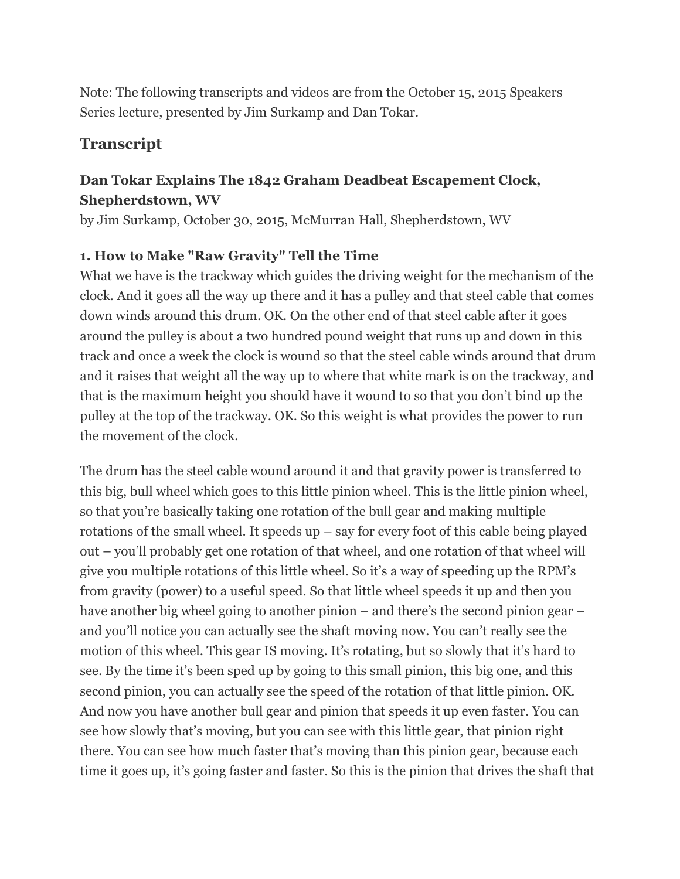Note: The following transcripts and videos are from the October 15, 2015 Speakers Series lecture, presented by Jim Surkamp and Dan Tokar.

# **Transcript**

# **Dan Tokar Explains The 1842 Graham Deadbeat Escapement Clock, Shepherdstown, WV**

by Jim Surkamp, October 30, 2015, McMurran Hall, Shepherdstown, WV

## **1. How to Make "Raw Gravity" Tell the Time**

What we have is the trackway which guides the driving weight for the mechanism of the clock. And it goes all the way up there and it has a pulley and that steel cable that comes down winds around this drum. OK. On the other end of that steel cable after it goes around the pulley is about a two hundred pound weight that runs up and down in this track and once a week the clock is wound so that the steel cable winds around that drum and it raises that weight all the way up to where that white mark is on the trackway, and that is the maximum height you should have it wound to so that you don't bind up the pulley at the top of the trackway. OK. So this weight is what provides the power to run the movement of the clock.

The drum has the steel cable wound around it and that gravity power is transferred to this big, bull wheel which goes to this little pinion wheel. This is the little pinion wheel, so that you're basically taking one rotation of the bull gear and making multiple rotations of the small wheel. It speeds  $up - say$  for every foot of this cable being played out – you'll probably get one rotation of that wheel, and one rotation of that wheel will give you multiple rotations of this little wheel. So it's a way of speeding up the RPM's from gravity (power) to a useful speed. So that little wheel speeds it up and then you have another big wheel going to another pinion – and there's the second pinion gear – and you'll notice you can actually see the shaft moving now. You can't really see the motion of this wheel. This gear IS moving. It's rotating, but so slowly that it's hard to see. By the time it's been sped up by going to this small pinion, this big one, and this second pinion, you can actually see the speed of the rotation of that little pinion. OK. And now you have another bull gear and pinion that speeds it up even faster. You can see how slowly that's moving, but you can see with this little gear, that pinion right there. You can see how much faster that's moving than this pinion gear, because each time it goes up, it's going faster and faster. So this is the pinion that drives the shaft that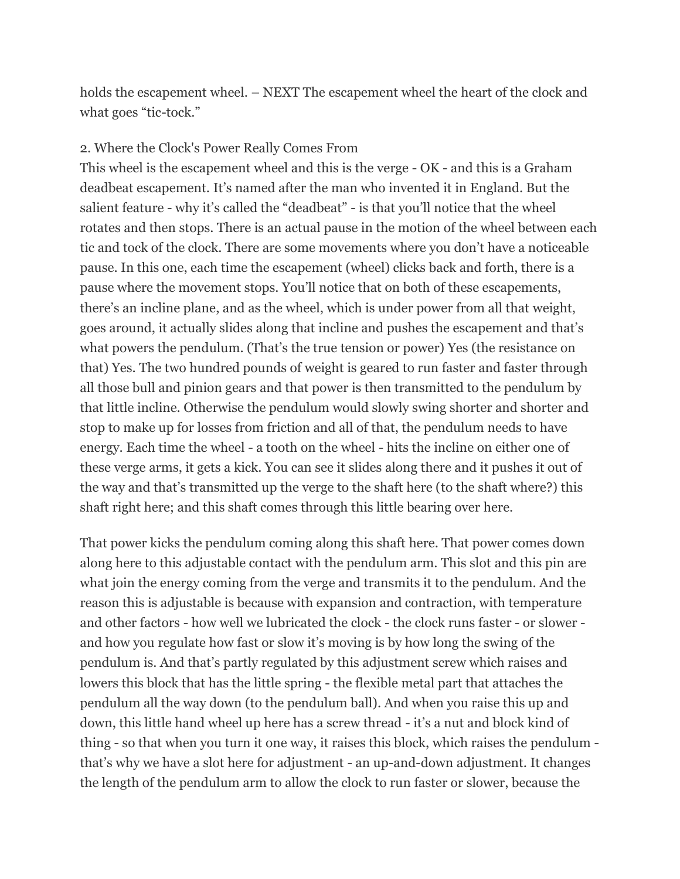holds the escapement wheel. – NEXT The escapement wheel the heart of the clock and what goes "tic-tock."

#### 2. Where the Clock's Power Really Comes From

This wheel is the escapement wheel and this is the verge - OK - and this is a Graham deadbeat escapement. It's named after the man who invented it in England. But the salient feature - why it's called the "deadbeat" - is that you'll notice that the wheel rotates and then stops. There is an actual pause in the motion of the wheel between each tic and tock of the clock. There are some movements where you don't have a noticeable pause. In this one, each time the escapement (wheel) clicks back and forth, there is a pause where the movement stops. You'll notice that on both of these escapements, there's an incline plane, and as the wheel, which is under power from all that weight, goes around, it actually slides along that incline and pushes the escapement and that's what powers the pendulum. (That's the true tension or power) Yes (the resistance on that) Yes. The two hundred pounds of weight is geared to run faster and faster through all those bull and pinion gears and that power is then transmitted to the pendulum by that little incline. Otherwise the pendulum would slowly swing shorter and shorter and stop to make up for losses from friction and all of that, the pendulum needs to have energy. Each time the wheel - a tooth on the wheel - hits the incline on either one of these verge arms, it gets a kick. You can see it slides along there and it pushes it out of the way and that's transmitted up the verge to the shaft here (to the shaft where?) this shaft right here; and this shaft comes through this little bearing over here.

That power kicks the pendulum coming along this shaft here. That power comes down along here to this adjustable contact with the pendulum arm. This slot and this pin are what join the energy coming from the verge and transmits it to the pendulum. And the reason this is adjustable is because with expansion and contraction, with temperature and other factors - how well we lubricated the clock - the clock runs faster - or slower and how you regulate how fast or slow it's moving is by how long the swing of the pendulum is. And that's partly regulated by this adjustment screw which raises and lowers this block that has the little spring - the flexible metal part that attaches the pendulum all the way down (to the pendulum ball). And when you raise this up and down, this little hand wheel up here has a screw thread - it's a nut and block kind of thing - so that when you turn it one way, it raises this block, which raises the pendulum that's why we have a slot here for adjustment - an up-and-down adjustment. It changes the length of the pendulum arm to allow the clock to run faster or slower, because the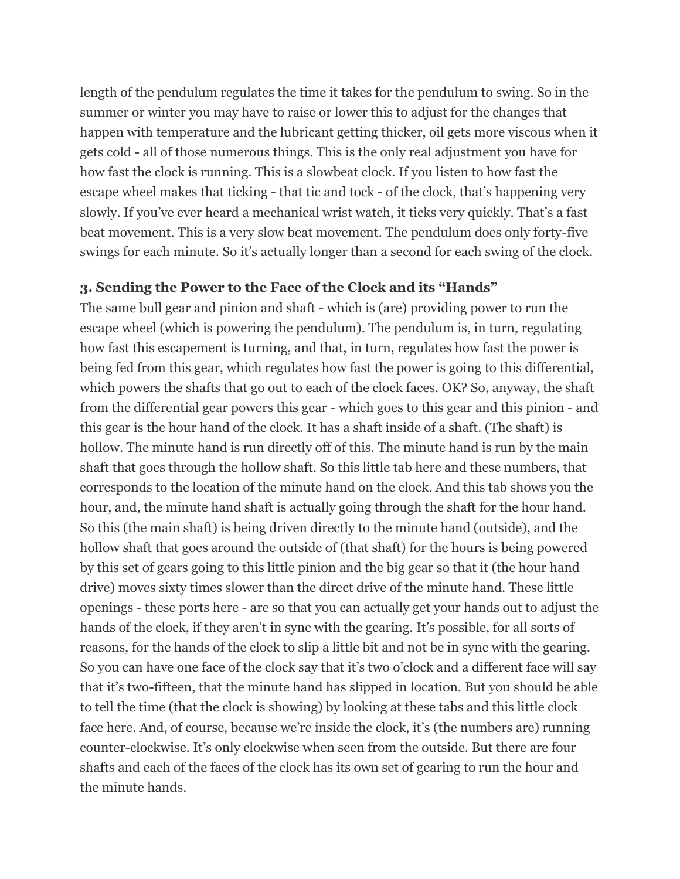length of the pendulum regulates the time it takes for the pendulum to swing. So in the summer or winter you may have to raise or lower this to adjust for the changes that happen with temperature and the lubricant getting thicker, oil gets more viscous when it gets cold - all of those numerous things. This is the only real adjustment you have for how fast the clock is running. This is a slowbeat clock. If you listen to how fast the escape wheel makes that ticking - that tic and tock - of the clock, that's happening very slowly. If you've ever heard a mechanical wrist watch, it ticks very quickly. That's a fast beat movement. This is a very slow beat movement. The pendulum does only forty-five swings for each minute. So it's actually longer than a second for each swing of the clock.

### **3. Sending the Power to the Face of the Clock and its "Hands"**

The same bull gear and pinion and shaft - which is (are) providing power to run the escape wheel (which is powering the pendulum). The pendulum is, in turn, regulating how fast this escapement is turning, and that, in turn, regulates how fast the power is being fed from this gear, which regulates how fast the power is going to this differential, which powers the shafts that go out to each of the clock faces. OK? So, anyway, the shaft from the differential gear powers this gear - which goes to this gear and this pinion - and this gear is the hour hand of the clock. It has a shaft inside of a shaft. (The shaft) is hollow. The minute hand is run directly off of this. The minute hand is run by the main shaft that goes through the hollow shaft. So this little tab here and these numbers, that corresponds to the location of the minute hand on the clock. And this tab shows you the hour, and, the minute hand shaft is actually going through the shaft for the hour hand. So this (the main shaft) is being driven directly to the minute hand (outside), and the hollow shaft that goes around the outside of (that shaft) for the hours is being powered by this set of gears going to this little pinion and the big gear so that it (the hour hand drive) moves sixty times slower than the direct drive of the minute hand. These little openings - these ports here - are so that you can actually get your hands out to adjust the hands of the clock, if they aren't in sync with the gearing. It's possible, for all sorts of reasons, for the hands of the clock to slip a little bit and not be in sync with the gearing. So you can have one face of the clock say that it's two o'clock and a different face will say that it's two-fifteen, that the minute hand has slipped in location. But you should be able to tell the time (that the clock is showing) by looking at these tabs and this little clock face here. And, of course, because we're inside the clock, it's (the numbers are) running counter-clockwise. It's only clockwise when seen from the outside. But there are four shafts and each of the faces of the clock has its own set of gearing to run the hour and the minute hands.